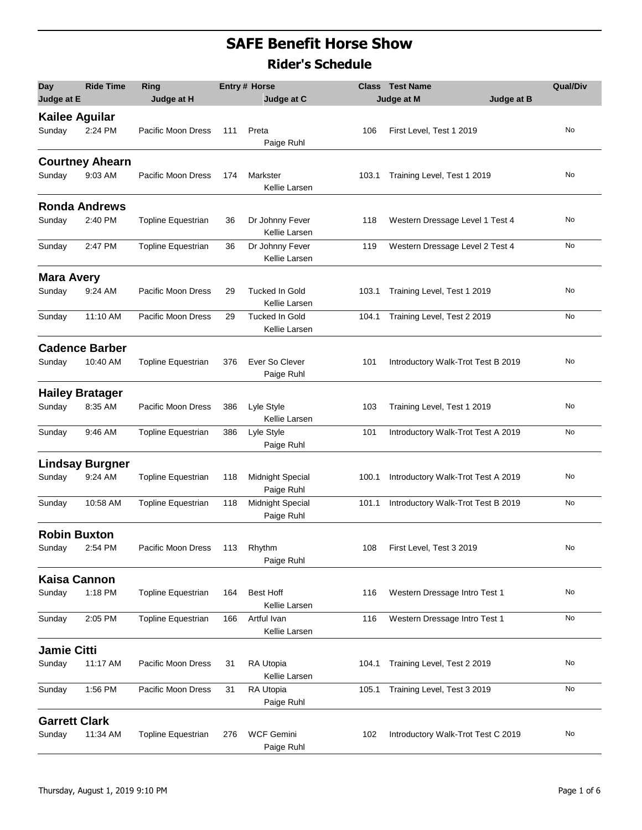## **SAFE Benefit Horse Show Rider's Schedule**

| <b>Day</b><br>Judge at E        | <b>Ride Time</b>                  | Ring<br>Judge at H        |     | <b>Entry # Horse</b><br>Judge at C                |       | <b>Class</b> Test Name<br>Judge at M | <b>Qual/Div</b><br>Judge at B |  |
|---------------------------------|-----------------------------------|---------------------------|-----|---------------------------------------------------|-------|--------------------------------------|-------------------------------|--|
| <b>Kailee Aguilar</b><br>Sunday | 2:24 PM                           | Pacific Moon Dress        | 111 | Preta<br>Paige Ruhl                               | 106   | First Level, Test 1 2019             | No                            |  |
| Sunday                          | <b>Courtney Ahearn</b><br>9:03 AM | Pacific Moon Dress        | 174 | Markster<br>Kellie Larsen                         | 103.1 | Training Level, Test 1 2019          | No                            |  |
| Sunday                          | <b>Ronda Andrews</b><br>2:40 PM   | <b>Topline Equestrian</b> | 36  | Dr Johnny Fever                                   | 118   | Western Dressage Level 1 Test 4      | No                            |  |
| Sunday                          | 2:47 PM                           | Topline Equestrian        | 36  | Kellie Larsen<br>Dr Johnny Fever<br>Kellie Larsen | 119   | Western Dressage Level 2 Test 4      | No                            |  |
| <b>Mara Avery</b>               |                                   |                           |     |                                                   |       |                                      |                               |  |
| Sunday                          | 9:24 AM                           | Pacific Moon Dress        | 29  | <b>Tucked In Gold</b><br>Kellie Larsen            | 103.1 | Training Level, Test 1 2019          | No                            |  |
| Sunday                          | 11:10 AM                          | Pacific Moon Dress        | 29  | <b>Tucked In Gold</b><br>Kellie Larsen            | 104.1 | Training Level, Test 2 2019          | No                            |  |
|                                 | <b>Cadence Barber</b>             |                           |     |                                                   |       |                                      |                               |  |
| Sunday                          | 10:40 AM                          | <b>Topline Equestrian</b> | 376 | Ever So Clever<br>Paige Ruhl                      | 101   | Introductory Walk-Trot Test B 2019   | No                            |  |
|                                 | <b>Hailey Bratager</b>            |                           |     |                                                   |       |                                      |                               |  |
| Sunday                          | 8:35 AM                           | Pacific Moon Dress        | 386 | Lyle Style<br>Kellie Larsen                       | 103   | Training Level, Test 1 2019          | No                            |  |
| Sunday                          | 9:46 AM                           | Topline Equestrian        | 386 | Lyle Style<br>Paige Ruhl                          | 101   | Introductory Walk-Trot Test A 2019   | No                            |  |
|                                 | <b>Lindsay Burgner</b>            |                           |     |                                                   |       |                                      |                               |  |
| Sunday                          | 9:24 AM                           | <b>Topline Equestrian</b> | 118 | Midnight Special<br>Paige Ruhl                    | 100.1 | Introductory Walk-Trot Test A 2019   | No                            |  |
| Sunday                          | 10:58 AM                          | Topline Equestrian        | 118 | Midnight Special<br>Paige Ruhl                    | 101.1 | Introductory Walk-Trot Test B 2019   | No                            |  |
| <b>Robin Buxton</b>             |                                   |                           |     |                                                   |       |                                      |                               |  |
| Sunday                          | 2:54 PM                           | Pacific Moon Dress        | 113 | Rhythm<br>Paige Ruhl                              | 108   | First Level, Test 3 2019             | No                            |  |
| <b>Kaisa Cannon</b>             |                                   |                           |     |                                                   |       |                                      |                               |  |
| Sunday                          | 1:18 PM                           | <b>Topline Equestrian</b> | 164 | Best Hoff<br>Kellie Larsen                        | 116   | Western Dressage Intro Test 1        | No                            |  |
| Sunday                          | 2:05 PM                           | <b>Topline Equestrian</b> | 166 | Artful Ivan<br>Kellie Larsen                      | 116   | Western Dressage Intro Test 1        | No                            |  |
| Jamie Citti                     |                                   |                           |     |                                                   |       |                                      |                               |  |
| Sunday                          | 11:17 AM                          | Pacific Moon Dress        | 31  | RA Utopia<br>Kellie Larsen                        | 104.1 | Training Level, Test 2 2019          | No                            |  |
| Sunday                          | 1:56 PM                           | Pacific Moon Dress        | 31  | RA Utopia<br>Paige Ruhl                           | 105.1 | Training Level, Test 3 2019          | No                            |  |
| <b>Garrett Clark</b>            |                                   |                           |     |                                                   |       |                                      |                               |  |
| Sunday                          | 11:34 AM                          | Topline Equestrian        | 276 | <b>WCF Gemini</b><br>Paige Ruhl                   | 102   | Introductory Walk-Trot Test C 2019   | No                            |  |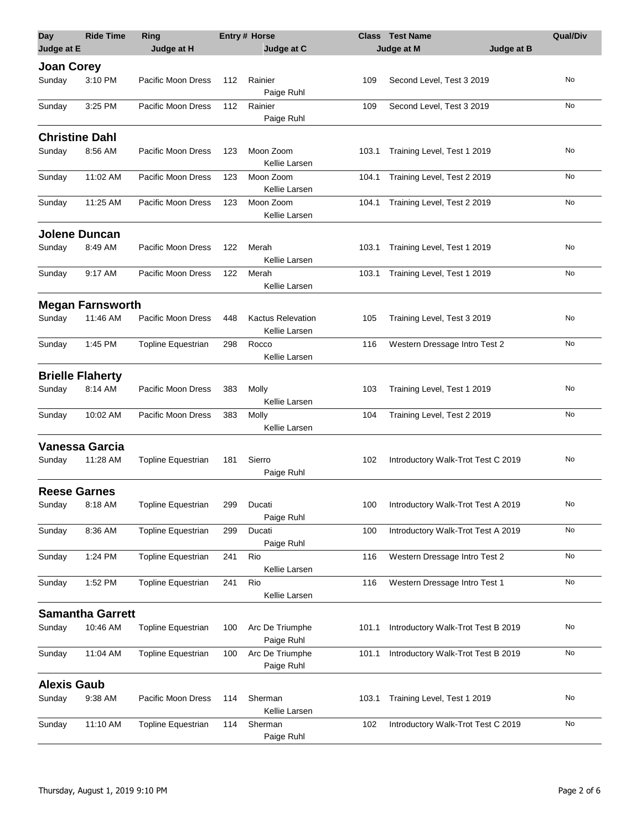| <b>Day</b><br>Judge at E    | <b>Ride Time</b>           | <b>Ring</b><br>Judge at H |     | <b>Entry# Horse</b><br>Judge at C         |       | <b>Class</b> Test Name<br>Judge at B<br>Judge at M | <b>Qual/Div</b> |
|-----------------------------|----------------------------|---------------------------|-----|-------------------------------------------|-------|----------------------------------------------------|-----------------|
|                             |                            |                           |     |                                           |       |                                                    |                 |
| <b>Joan Corey</b><br>Sunday | 3:10 PM                    | Pacific Moon Dress        | 112 | Rainier                                   | 109   | Second Level, Test 3 2019                          | No              |
| Sunday                      | 3:25 PM                    | Pacific Moon Dress        | 112 | Paige Ruhl<br>Rainier                     | 109   | Second Level, Test 3 2019                          | No              |
|                             |                            |                           |     | Paige Ruhl                                |       |                                                    |                 |
|                             | <b>Christine Dahl</b>      |                           |     |                                           |       |                                                    | No              |
| Sunday                      | 8:56 AM                    | Pacific Moon Dress        | 123 | Moon Zoom<br>Kellie Larsen                | 103.1 | Training Level, Test 1 2019                        |                 |
| Sunday                      | 11:02 AM                   | Pacific Moon Dress        | 123 | Moon Zoom<br>Kellie Larsen                | 104.1 | Training Level, Test 2 2019                        | No              |
| Sunday                      | 11:25 AM                   | Pacific Moon Dress        | 123 | Moon Zoom<br>Kellie Larsen                | 104.1 | Training Level, Test 2 2019                        | No              |
|                             | Jolene Duncan              |                           |     |                                           |       |                                                    |                 |
| Sunday                      | 8:49 AM                    | Pacific Moon Dress        | 122 | Merah<br>Kellie Larsen                    | 103.1 | Training Level, Test 1 2019                        | No              |
| Sunday                      | 9:17 AM                    | Pacific Moon Dress        | 122 | Merah<br>Kellie Larsen                    | 103.1 | Training Level, Test 1 2019                        | No              |
|                             | <b>Megan Farnsworth</b>    |                           |     |                                           |       |                                                    |                 |
| Sunday                      | 11:46 AM                   | Pacific Moon Dress        | 448 | <b>Kactus Relevation</b><br>Kellie Larsen | 105   | Training Level, Test 3 2019                        | No              |
| Sunday                      | 1:45 PM                    | <b>Topline Equestrian</b> | 298 | Rocco<br>Kellie Larsen                    | 116   | Western Dressage Intro Test 2                      | No              |
|                             | <b>Brielle Flaherty</b>    |                           |     |                                           |       |                                                    |                 |
| Sunday                      | 8:14 AM                    | Pacific Moon Dress        | 383 | Molly<br>Kellie Larsen                    | 103   | Training Level, Test 1 2019                        | No              |
| Sunday                      | 10:02 AM                   | Pacific Moon Dress        | 383 | Molly<br>Kellie Larsen                    | 104   | Training Level, Test 2 2019                        | No              |
|                             |                            |                           |     |                                           |       |                                                    |                 |
| Sunday                      | Vanessa Garcia<br>11:28 AM | Topline Equestrian        | 181 | Sierro                                    | 102   | Introductory Walk-Trot Test C 2019                 | No              |
|                             |                            |                           |     | Paige Ruhl                                |       |                                                    |                 |
|                             | <b>Reese Garnes</b>        |                           |     |                                           |       |                                                    |                 |
| Sunday                      | 8:18 AM                    | Topline Equestrian        | 299 | Ducati<br>Paige Ruhl                      | 100   | Introductory Walk-Trot Test A 2019                 | No              |
| Sunday                      | 8:36 AM                    | <b>Topline Equestrian</b> | 299 | Ducati<br>Paige Ruhl                      | 100   | Introductory Walk-Trot Test A 2019                 | No              |
| Sunday                      | 1:24 PM                    | Topline Equestrian        | 241 | Rio<br>Kellie Larsen                      | 116   | Western Dressage Intro Test 2                      | No              |
| Sunday                      | 1:52 PM                    | <b>Topline Equestrian</b> | 241 | Rio<br>Kellie Larsen                      | 116   | Western Dressage Intro Test 1                      | No              |
|                             | <b>Samantha Garrett</b>    |                           |     |                                           |       |                                                    |                 |
| Sunday                      | 10:46 AM                   | <b>Topline Equestrian</b> | 100 | Arc De Triumphe<br>Paige Ruhl             | 101.1 | Introductory Walk-Trot Test B 2019                 | No              |
| Sunday                      | 11:04 AM                   | <b>Topline Equestrian</b> | 100 | Arc De Triumphe<br>Paige Ruhl             | 101.1 | Introductory Walk-Trot Test B 2019                 | No              |
| <b>Alexis Gaub</b>          |                            |                           |     |                                           |       |                                                    |                 |
| Sunday                      | 9:38 AM                    | Pacific Moon Dress        | 114 | Sherman<br>Kellie Larsen                  | 103.1 | Training Level, Test 1 2019                        | No              |
| Sunday                      | 11:10 AM                   | Topline Equestrian        | 114 | Sherman<br>Paige Ruhl                     | 102   | Introductory Walk-Trot Test C 2019                 | No              |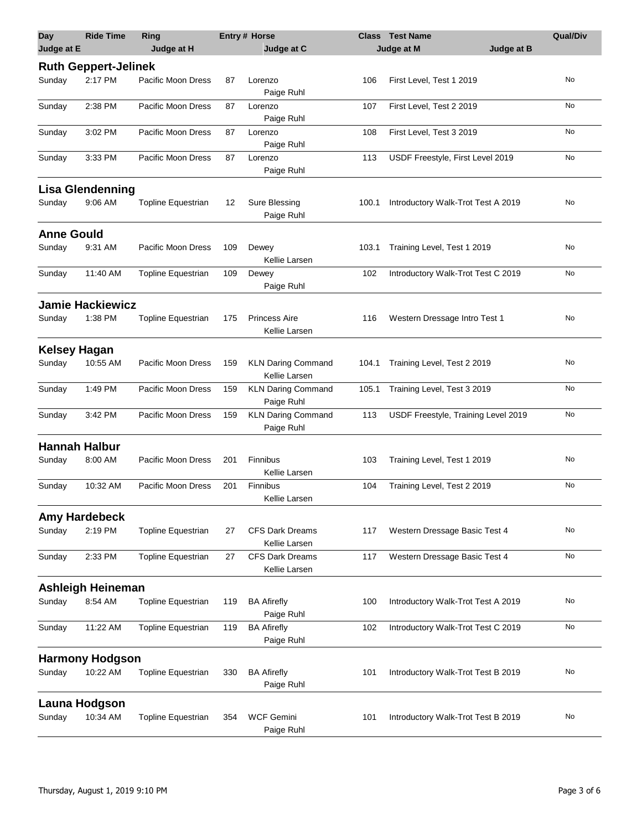| Day                 | <b>Ride Time</b>            | Ring                      |     | Entry # Horse                              | <b>Class</b> | <b>Test Name</b>                    | <b>Qual/Div</b> |
|---------------------|-----------------------------|---------------------------|-----|--------------------------------------------|--------------|-------------------------------------|-----------------|
| Judge at E          |                             | Judge at H                |     | Judge at C                                 |              | Judge at M<br>Judge at B            |                 |
|                     | <b>Ruth Geppert-Jelinek</b> |                           |     |                                            |              |                                     |                 |
| Sunday              | 2:17 PM                     | Pacific Moon Dress        | 87  | Lorenzo<br>Paige Ruhl                      | 106          | First Level, Test 1 2019            | No              |
| Sunday              | 2:38 PM                     | Pacific Moon Dress        | 87  | Lorenzo<br>Paige Ruhl                      | 107          | First Level, Test 2 2019            | No              |
| Sunday              | 3:02 PM                     | Pacific Moon Dress        | 87  | Lorenzo<br>Paige Ruhl                      | 108          | First Level, Test 3 2019            | No              |
| Sunday              | 3:33 PM                     | Pacific Moon Dress        | 87  | Lorenzo<br>Paige Ruhl                      | 113          | USDF Freestyle, First Level 2019    | No              |
|                     | <b>Lisa Glendenning</b>     |                           |     |                                            |              |                                     |                 |
| Sunday              | 9:06 AM                     | <b>Topline Equestrian</b> | 12  | Sure Blessing<br>Paige Ruhl                | 100.1        | Introductory Walk-Trot Test A 2019  | No              |
| <b>Anne Gould</b>   |                             |                           |     |                                            |              |                                     |                 |
| Sunday              | 9:31 AM                     | Pacific Moon Dress        | 109 | Dewey<br>Kellie Larsen                     | 103.1        | Training Level, Test 1 2019         | No              |
| Sunday              | 11:40 AM                    | <b>Topline Equestrian</b> | 109 | Dewey<br>Paige Ruhl                        | 102          | Introductory Walk-Trot Test C 2019  | No              |
|                     | <b>Jamie Hackiewicz</b>     |                           |     |                                            |              |                                     |                 |
| Sunday              | 1:38 PM                     | <b>Topline Equestrian</b> | 175 | <b>Princess Aire</b><br>Kellie Larsen      | 116          | Western Dressage Intro Test 1       | No              |
| <b>Kelsey Hagan</b> |                             |                           |     |                                            |              |                                     |                 |
| Sunday              | 10:55 AM                    | Pacific Moon Dress        | 159 | <b>KLN Daring Command</b><br>Kellie Larsen | 104.1        | Training Level, Test 2 2019         | No              |
| Sunday              | 1:49 PM                     | Pacific Moon Dress        | 159 | <b>KLN Daring Command</b><br>Paige Ruhl    | 105.1        | Training Level, Test 3 2019         | No              |
| Sunday              | 3:42 PM                     | Pacific Moon Dress        | 159 | <b>KLN Daring Command</b><br>Paige Ruhl    | 113          | USDF Freestyle, Training Level 2019 | No              |
|                     | <b>Hannah Halbur</b>        |                           |     |                                            |              |                                     |                 |
| Sunday              | 8:00 AM                     | Pacific Moon Dress        | 201 | Finnibus<br>Kellie Larsen                  | 103          | Training Level, Test 1 2019         | No              |
| Sunday              | 10:32 AM                    | Pacific Moon Dress        | 201 | Finnibus<br>Kellie Larsen                  | 104          | Training Level, Test 2 2019         | No              |
|                     | <b>Amy Hardebeck</b>        |                           |     |                                            |              |                                     |                 |
| Sunday              | 2:19 PM                     | <b>Topline Equestrian</b> | 27  | <b>CFS Dark Dreams</b><br>Kellie Larsen    | 117          | Western Dressage Basic Test 4       | No              |
| Sunday              | 2:33 PM                     | <b>Topline Equestrian</b> | 27  | <b>CFS Dark Dreams</b><br>Kellie Larsen    | 117          | Western Dressage Basic Test 4       | No              |
|                     | <b>Ashleigh Heineman</b>    |                           |     |                                            |              |                                     |                 |
| Sunday              | 8:54 AM                     | <b>Topline Equestrian</b> | 119 | <b>BA Afirefly</b><br>Paige Ruhl           | 100          | Introductory Walk-Trot Test A 2019  | No              |
| Sunday              | 11:22 AM                    | <b>Topline Equestrian</b> | 119 | <b>BA Afirefly</b><br>Paige Ruhl           | 102          | Introductory Walk-Trot Test C 2019  | No              |
|                     | <b>Harmony Hodgson</b>      |                           |     |                                            |              |                                     |                 |
| Sunday              | 10:22 AM                    | Topline Equestrian        | 330 | <b>BA Afirefly</b><br>Paige Ruhl           | 101          | Introductory Walk-Trot Test B 2019  | No              |
|                     | Launa Hodgson               |                           |     |                                            |              |                                     |                 |
| Sunday              | 10:34 AM                    | <b>Topline Equestrian</b> | 354 | <b>WCF Gemini</b><br>Paige Ruhl            | 101          | Introductory Walk-Trot Test B 2019  | No              |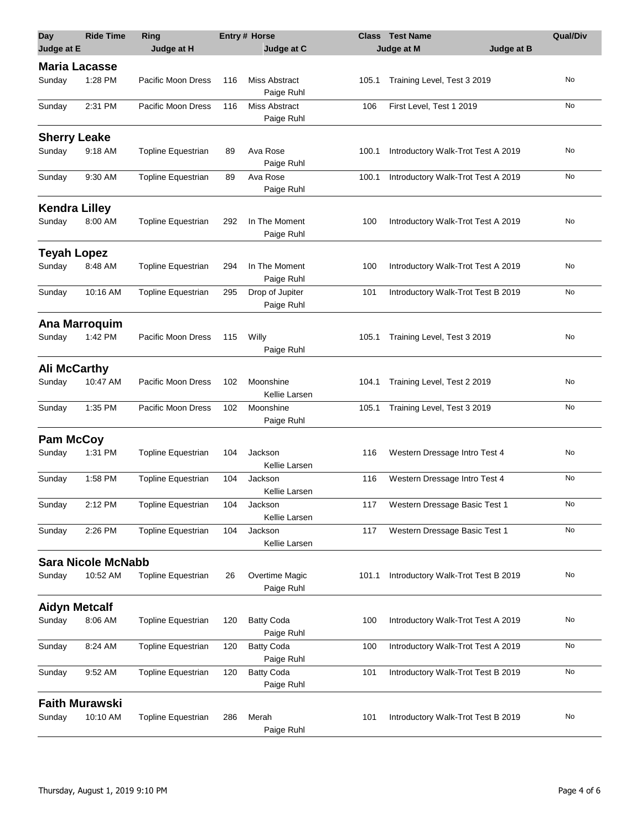| <b>Day</b>            | <b>Ride Time</b>          | <b>Ring</b>               |     | <b>Entry # Horse</b>            | <b>Class</b> | <b>Test Name</b>                   | <b>Qual/Div</b> |
|-----------------------|---------------------------|---------------------------|-----|---------------------------------|--------------|------------------------------------|-----------------|
| Judge at E            |                           | Judge at H                |     | Judge at C                      |              | Judge at B<br>Judge at M           |                 |
| <b>Maria Lacasse</b>  |                           |                           |     |                                 |              |                                    |                 |
| Sunday                | 1:28 PM                   | Pacific Moon Dress        | 116 | Miss Abstract<br>Paige Ruhl     | 105.1        | Training Level, Test 3 2019        | No              |
| Sunday                | 2:31 PM                   | Pacific Moon Dress        | 116 | Miss Abstract<br>Paige Ruhl     | 106          | First Level, Test 1 2019           | No              |
| <b>Sherry Leake</b>   |                           |                           |     |                                 |              |                                    |                 |
| Sunday                | 9:18 AM                   | <b>Topline Equestrian</b> | 89  | Ava Rose<br>Paige Ruhl          | 100.1        | Introductory Walk-Trot Test A 2019 | No              |
| Sunday                | 9:30 AM                   | Topline Equestrian        | 89  | Ava Rose<br>Paige Ruhl          | 100.1        | Introductory Walk-Trot Test A 2019 | No              |
| <b>Kendra Lilley</b>  |                           |                           |     |                                 |              |                                    |                 |
| Sunday                | 8:00 AM                   | <b>Topline Equestrian</b> | 292 | In The Moment<br>Paige Ruhl     | 100          | Introductory Walk-Trot Test A 2019 | No              |
| <b>Teyah Lopez</b>    |                           |                           |     |                                 |              |                                    |                 |
| Sunday                | 8:48 AM                   | Topline Equestrian        | 294 | In The Moment<br>Paige Ruhl     | 100          | Introductory Walk-Trot Test A 2019 | No              |
| Sunday                | 10:16 AM                  | Topline Equestrian        | 295 | Drop of Jupiter<br>Paige Ruhl   | 101          | Introductory Walk-Trot Test B 2019 | No              |
|                       | Ana Marroquim             |                           |     |                                 |              |                                    |                 |
| Sunday                | 1:42 PM                   | Pacific Moon Dress        | 115 | Willy<br>Paige Ruhl             | 105.1        | Training Level, Test 3 2019        | No              |
| <b>Ali McCarthy</b>   |                           |                           |     |                                 |              |                                    |                 |
| Sunday                | 10:47 AM                  | Pacific Moon Dress        | 102 | Moonshine<br>Kellie Larsen      | 104.1        | Training Level, Test 2 2019        | No              |
| Sunday                | 1:35 PM                   | Pacific Moon Dress        | 102 | Moonshine<br>Paige Ruhl         | 105.1        | Training Level, Test 3 2019        | No              |
| <b>Pam McCoy</b>      |                           |                           |     |                                 |              |                                    |                 |
| Sunday                | 1:31 PM                   | Topline Equestrian        | 104 | Jackson<br>Kellie Larsen        | 116          | Western Dressage Intro Test 4      | No              |
| Sunday                | 1:58 PM                   | <b>Topline Equestrian</b> | 104 | Jackson<br>Kellie Larsen        | 116          | Western Dressage Intro Test 4      | No              |
| Sunday                | 2:12 PM                   | Topline Equestrian        | 104 | Jackson<br>Kellie Larsen        | 117          | Western Dressage Basic Test 1      | No              |
| Sunday                | 2:26 PM                   | Topline Equestrian        | 104 | Jackson<br>Kellie Larsen        | 117          | Western Dressage Basic Test 1      | No              |
|                       | <b>Sara Nicole McNabb</b> |                           |     |                                 |              |                                    |                 |
| Sunday                | 10:52 AM                  | <b>Topline Equestrian</b> | 26  | Overtime Magic<br>Paige Ruhl    | 101.1        | Introductory Walk-Trot Test B 2019 | No              |
| <b>Aidyn Metcalf</b>  |                           |                           |     |                                 |              |                                    |                 |
| Sunday                | 8:06 AM                   | <b>Topline Equestrian</b> | 120 | <b>Batty Coda</b><br>Paige Ruhl | 100          | Introductory Walk-Trot Test A 2019 | No              |
| Sunday                | 8:24 AM                   | Topline Equestrian        | 120 | <b>Batty Coda</b><br>Paige Ruhl | 100          | Introductory Walk-Trot Test A 2019 | No              |
| Sunday                | 9:52 AM                   | <b>Topline Equestrian</b> | 120 | <b>Batty Coda</b><br>Paige Ruhl | 101          | Introductory Walk-Trot Test B 2019 | No              |
| <b>Faith Murawski</b> |                           |                           |     |                                 |              |                                    |                 |
| Sunday                | 10:10 AM                  | Topline Equestrian        | 286 | Merah<br>Paige Ruhl             | 101          | Introductory Walk-Trot Test B 2019 | No              |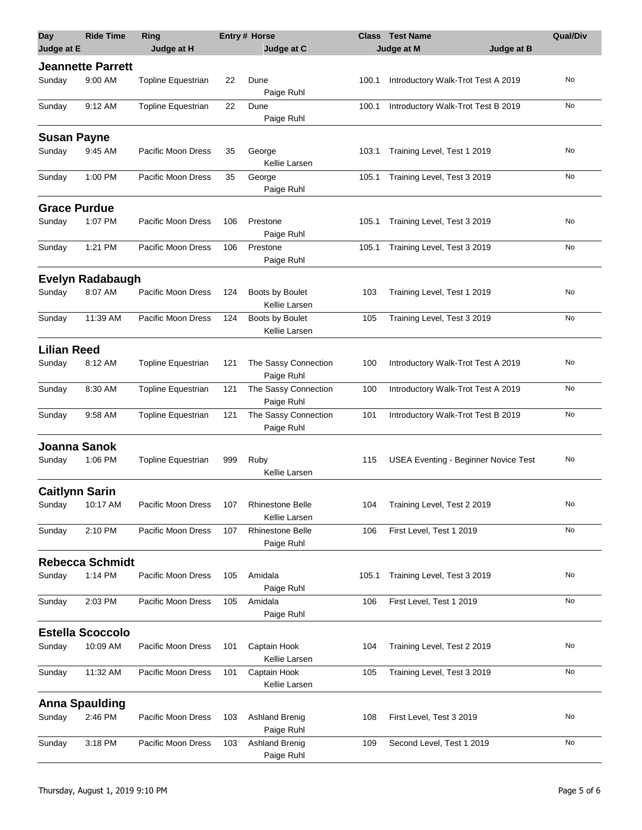| <b>Day</b><br>Judge at E | <b>Ride Time</b>         | Ring<br>Judge at H        |     | <b>Entry# Horse</b><br>Judge at C        |       | <b>Class Test Name</b><br>Judge at M<br>Judge at B | <b>Qual/Div</b> |
|--------------------------|--------------------------|---------------------------|-----|------------------------------------------|-------|----------------------------------------------------|-----------------|
|                          | <b>Jeannette Parrett</b> |                           |     |                                          |       |                                                    |                 |
| Sunday                   | 9:00 AM                  | <b>Topline Equestrian</b> | 22  | Dune<br>Paige Ruhl                       | 100.1 | Introductory Walk-Trot Test A 2019                 | No              |
| Sunday                   | 9:12 AM                  | Topline Equestrian        | 22  | Dune<br>Paige Ruhl                       | 100.1 | Introductory Walk-Trot Test B 2019                 | No              |
| <b>Susan Payne</b>       |                          |                           |     |                                          |       |                                                    |                 |
| Sunday                   | 9:45 AM                  | Pacific Moon Dress        | 35  | George<br>Kellie Larsen                  | 103.1 | Training Level, Test 1 2019                        | No              |
| Sunday                   | 1:00 PM                  | Pacific Moon Dress        | 35  | George<br>Paige Ruhl                     | 105.1 | Training Level, Test 3 2019                        | No              |
| <b>Grace Purdue</b>      |                          |                           |     |                                          |       |                                                    |                 |
| Sunday                   | 1:07 PM                  | Pacific Moon Dress        | 106 | Prestone<br>Paige Ruhl                   | 105.1 | Training Level, Test 3 2019                        | No              |
| Sunday                   | 1:21 PM                  | Pacific Moon Dress        | 106 | Prestone<br>Paige Ruhl                   | 105.1 | Training Level, Test 3 2019                        | No              |
|                          | <b>Evelyn Radabaugh</b>  |                           |     |                                          |       |                                                    |                 |
| Sunday                   | 8:07 AM                  | Pacific Moon Dress        | 124 | Boots by Boulet<br>Kellie Larsen         | 103   | Training Level, Test 1 2019                        | No              |
| Sunday                   | 11:39 AM                 | Pacific Moon Dress        | 124 | Boots by Boulet<br>Kellie Larsen         | 105   | Training Level, Test 3 2019                        | No              |
| <b>Lilian Reed</b>       |                          |                           |     |                                          |       |                                                    |                 |
| Sunday                   | 8:12 AM                  | <b>Topline Equestrian</b> | 121 | The Sassy Connection<br>Paige Ruhl       | 100   | Introductory Walk-Trot Test A 2019                 | No              |
| Sunday                   | 8:30 AM                  | Topline Equestrian        | 121 | The Sassy Connection<br>Paige Ruhl       | 100   | Introductory Walk-Trot Test A 2019                 | No              |
| Sunday                   | 9:58 AM                  | Topline Equestrian        | 121 | The Sassy Connection<br>Paige Ruhl       | 101   | Introductory Walk-Trot Test B 2019                 | No              |
| Joanna Sanok             |                          |                           |     |                                          |       |                                                    |                 |
| Sunday                   | 1:06 PM                  | Topline Equestrian        | 999 | Ruby<br>Kellie Larsen                    | 115   | <b>USEA Eventing - Beginner Novice Test</b>        | No              |
| <b>Caitlynn Sarin</b>    |                          |                           |     |                                          |       |                                                    |                 |
| Sunday                   | 10:17 AM                 | Pacific Moon Dress        | 107 | <b>Rhinestone Belle</b><br>Kellie Larsen | 104   | Training Level, Test 2 2019                        | No              |
| Sunday                   | 2:10 PM                  | Pacific Moon Dress        | 107 | <b>Rhinestone Belle</b><br>Paige Ruhl    | 106   | First Level, Test 1 2019                           | No              |
|                          | <b>Rebecca Schmidt</b>   |                           |     |                                          |       |                                                    |                 |
| Sunday                   | 1:14 PM                  | Pacific Moon Dress        | 105 | Amidala<br>Paige Ruhl                    | 105.1 | Training Level, Test 3 2019                        | No              |
| Sunday                   | 2:03 PM                  | Pacific Moon Dress        | 105 | Amidala<br>Paige Ruhl                    | 106   | First Level, Test 1 2019                           | No              |
|                          | <b>Estella Scoccolo</b>  |                           |     |                                          |       |                                                    |                 |
| Sunday                   | 10:09 AM                 | Pacific Moon Dress        | 101 | Captain Hook<br>Kellie Larsen            | 104   | Training Level, Test 2 2019                        | No              |
| Sunday                   | 11:32 AM                 | Pacific Moon Dress        | 101 | Captain Hook<br>Kellie Larsen            | 105   | Training Level, Test 3 2019                        | No              |
|                          | <b>Anna Spaulding</b>    |                           |     |                                          |       |                                                    |                 |
| Sunday                   | 2:46 PM                  | Pacific Moon Dress        | 103 | <b>Ashland Brenig</b><br>Paige Ruhl      | 108   | First Level, Test 3 2019                           | No              |
| Sunday                   | 3:18 PM                  | Pacific Moon Dress        | 103 | <b>Ashland Brenig</b><br>Paige Ruhl      | 109   | Second Level, Test 1 2019                          | No              |